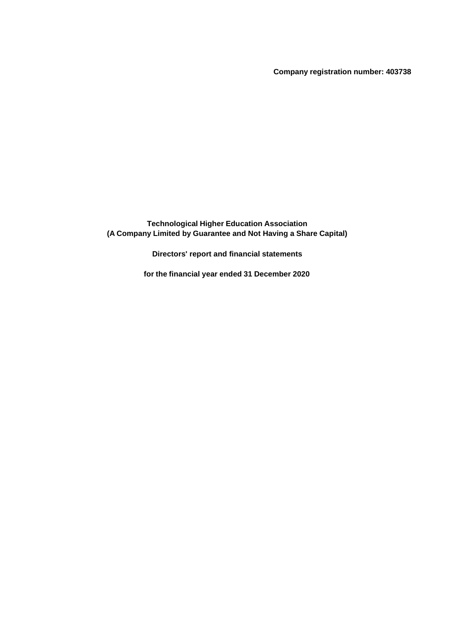**Company registration number: 403738**

**Technological Higher Education Association (A Company Limited by Guarantee and Not Having a Share Capital)**

**Directors' report and financial statements**

**for the financial year ended 31 December 2020**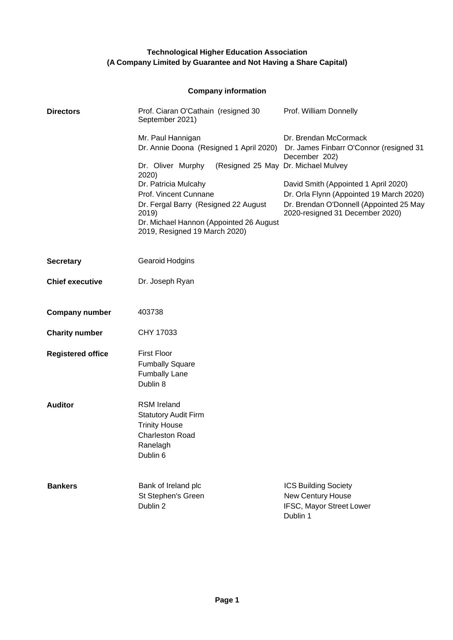# **Company information**

<span id="page-1-0"></span>

| <b>Directors</b>         | Prof. Ciaran O'Cathain (resigned 30<br>September 2021)                                                                                                                              | Prof. William Donnelly                                                                                                                                         |
|--------------------------|-------------------------------------------------------------------------------------------------------------------------------------------------------------------------------------|----------------------------------------------------------------------------------------------------------------------------------------------------------------|
|                          | Mr. Paul Hannigan<br>Dr. Annie Doona (Resigned 1 April 2020)<br>Dr. Oliver Murphy                                                                                                   | Dr. Brendan McCormack<br>Dr. James Finbarr O'Connor (resigned 31<br>December 202)<br>(Resigned 25 May Dr. Michael Mulvey                                       |
|                          | 2020)<br>Dr. Patricia Mulcahy<br>Prof. Vincent Cunnane<br>Dr. Fergal Barry (Resigned 22 August<br>2019)<br>Dr. Michael Hannon (Appointed 26 August<br>2019, Resigned 19 March 2020) | David Smith (Appointed 1 April 2020)<br>Dr. Orla Flynn (Appointed 19 March 2020)<br>Dr. Brendan O'Donnell (Appointed 25 May<br>2020-resigned 31 December 2020) |
| <b>Secretary</b>         | <b>Gearoid Hodgins</b>                                                                                                                                                              |                                                                                                                                                                |
| <b>Chief executive</b>   | Dr. Joseph Ryan                                                                                                                                                                     |                                                                                                                                                                |
| <b>Company number</b>    | 403738                                                                                                                                                                              |                                                                                                                                                                |
| <b>Charity number</b>    | CHY 17033                                                                                                                                                                           |                                                                                                                                                                |
| <b>Registered office</b> | <b>First Floor</b><br><b>Fumbally Square</b><br><b>Fumbally Lane</b><br>Dublin 8                                                                                                    |                                                                                                                                                                |
| <b>Auditor</b>           | <b>RSM Ireland</b><br><b>Statutory Audit Firm</b><br><b>Trinity House</b><br><b>Charleston Road</b><br>Ranelagh<br>Dublin 6                                                         |                                                                                                                                                                |
| <b>Bankers</b>           | Bank of Ireland plc<br>St Stephen's Green<br>Dublin 2                                                                                                                               | <b>ICS Building Society</b><br>New Century House<br>IFSC, Mayor Street Lower<br>Dublin 1                                                                       |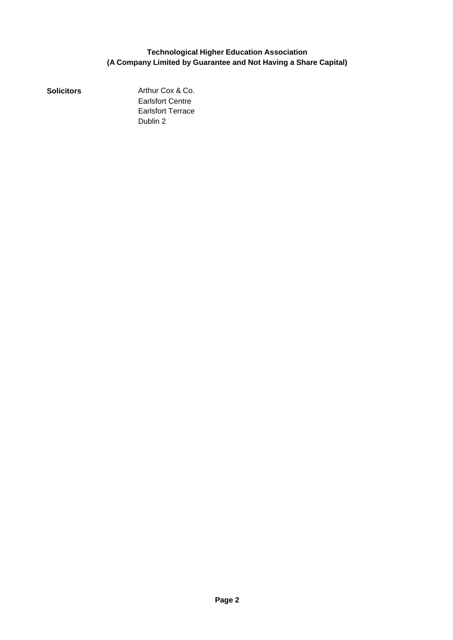**Solicitors** Arthur Cox & Co. Earlsfort Centre Earlsfort Terrace Dublin 2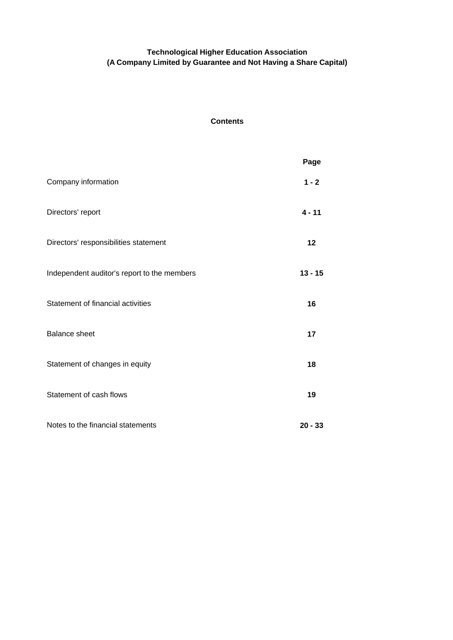# **Contents**

|                                             | Page      |
|---------------------------------------------|-----------|
| Company information                         | $1 - 2$   |
| Directors' report                           | $4 - 11$  |
| Directors' responsibilities statement       | 12        |
| Independent auditor's report to the members | $13 - 15$ |
| Statement of financial activities           | 16        |
| <b>Balance sheet</b>                        | 17        |
| Statement of changes in equity              | 18        |
| Statement of cash flows                     | 19        |
| Notes to the financial statements           | $20 - 33$ |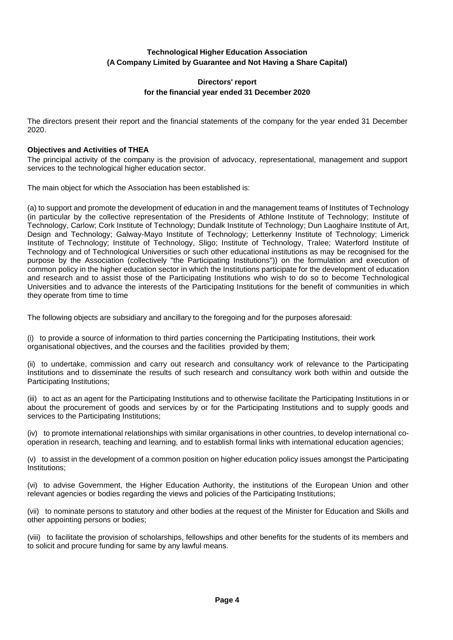## **Directors' report for the financial year ended 31 December 2020**

<span id="page-4-0"></span>The directors present their report and the financial statements of the company for the year ended 31 December 2020.

### **Objectives and Activities of THEA**

The principal activity of the company is the provision of advocacy, representational, management and support services to the technological higher education sector.

The main object for which the Association has been established is:

(a) to support and promote the development of education in and the management teams of Institutes of Technology (in particular by the collective representation of the Presidents of Athlone Institute of Technology; Institute of Technology, Carlow; Cork Institute of Technology; Dundalk Institute of Technology; Dun Laoghaire Institute of Art, Design and Technology; Galway-Mayo Institute of Technology; Letterkenny Institute of Technology; Limerick Institute of Technology; Institute of Technology, Sligo; Institute of Technology, Tralee; Waterford Institute of Technology and of Technological Universities or such other educational institutions as may be recognised for the purpose by the Association (collectively "the Participating Institutions")) on the formulation and execution of common policy in the higher education sector in which the Institutions participate for the development of education and research and to assist those of the Participating Institutions who wish to do so to become Technological Universities and to advance the interests of the Participating Institutions for the benefit of communities in which they operate from time to time

The following objects are subsidiary and ancillary to the foregoing and for the purposes aforesaid:

(i) to provide a source of information to third parties concerning the Participating Institutions, their work organisational objectives, and the courses and the facilities provided by them;

(ii) to undertake, commission and carry out research and consultancy work of relevance to the Participating Institutions and to disseminate the results of such research and consultancy work both within and outside the Participating Institutions;

(iii) to act as an agent for the Participating Institutions and to otherwise facilitate the Participating Institutions in or about the procurement of goods and services by or for the Participating Institutions and to supply goods and services to the Participating Institutions;

(iv) to promote international relationships with similar organisations in other countries, to develop international cooperation in research, teaching and learning, and to establish formal links with international education agencies;

(v) to assist in the development of a common position on higher education policy issues amongst the Participating Institutions;

(vi) to advise Government, the Higher Education Authority, the institutions of the European Union and other relevant agencies or bodies regarding the views and policies of the Participating Institutions;

(vii) to nominate persons to statutory and other bodies at the request of the Minister for Education and Skills and other appointing persons or bodies;

(viii) to facilitate the provision of scholarships, fellowships and other benefits for the students of its members and to solicit and procure funding for same by any lawful means.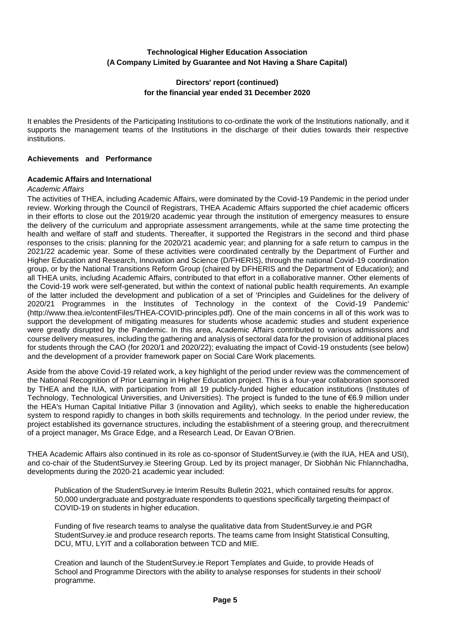### **Directors' report (continued) for the financial year ended 31 December 2020**

It enables the Presidents of the Participating Institutions to co-ordinate the work of the Institutions nationally, and it supports the management teams of the Institutions in the discharge of their duties towards their respective institutions.

## **Achievements and Performance**

#### **Academic Affairs and International**

#### *Academic Affairs*

The activities of THEA, including Academic Affairs, were dominated by the Covid-19 Pandemic in the period under review. Working through the Council of Registrars, THEA Academic Affairs supported the chief academic officers in their efforts to close out the 2019/20 academic year through the institution of emergency measures to ensure the delivery of the curriculum and appropriate assessment arrangements, while at the same time protecting the health and welfare of staff and students. Thereafter, it supported the Registrars in the second and third phase responses to the crisis: planning for the 2020/21 academic year; and planning for a safe return to campus in the 2021/22 academic year. Some of these activities were coordinated centrally by the Department of Further and Higher Education and Research, Innovation and Science (D/FHERIS), through the national Covid-19 coordination group, or by the National Transitions Reform Group (chaired by DFHERIS and the Department of Education); and all THEA units, including Academic Affairs, contributed to that effort in a collaborative manner. Other elements of the Covid-19 work were self-generated, but within the context of national public health requirements. An example of the latter included the development and publication of a set of 'Principles and Guidelines for the delivery of 2020/21 Programmes in the Institutes of Technology in the context of the Covid-19 Pandemic' [\(http://www.thea.ie/contentFiles/THEA-COVID-principles.pdf\).](http://www.thea.ie/contentFiles/THEA-COVID-principles.pdf)) One of the main concerns in all of this work was to support the development of mitigating measures for students whose academic studies and student experience were greatly disrupted by the Pandemic. In this area, Academic Affairs contributed to various admissions and course delivery measures, including the gathering and analysis of sectoral data for the provision of additional places for students through the CAO (for 2020/1 and 2020/22); evaluating the impact of Covid-19 onstudents (see below) and the development of a provider framework paper on Social Care Work placements.

Aside from the above Covid-19 related work, a key highlight of the period under review was the commencement of the National Recognition of Prior Learning in Higher Education project. This is a four-year collaboration sponsored by THEA and the IUA, with participation from all 19 publicly-funded higher education institutions (Institutes of Technology, Technological Universities, and Universities). The project is funded to the tune of €6.9 million under the HEA's Human Capital Initiative Pillar 3 (innovation and Agility), which seeks to enable the highereducation system to respond rapidly to changes in both skills requirements and technology. In the period under review, the project established its governance structures, including the establishment of a steering group, and therecruitment of a project manager, Ms Grace Edge, and a Research Lead, Dr Eavan O'Brien.

THEA Academic Affairs also continued in its role as co-sponsor of StudentSurvey.ie (with the IUA, HEA and USI), and co-chair of the StudentSurvey.ie Steering Group. Led by its project manager, Dr Siobhán Nic Fhlannchadha, developments during the 2020-21 academic year included:

Publication of the StudentSurvey.ie Interim Results Bulletin 2021, which contained results for approx. 50,000 undergraduate and postgraduate respondents to questions specifically targeting theimpact of COVID-19 on students in higher education.

Funding of five research teams to analyse the qualitative data from StudentSurvey.ie and PGR StudentSurvey.ie and produce research reports. The teams came from Insight Statistical Consulting, DCU, MTU, LYIT and a collaboration between TCD and MIE.

Creation and launch of the StudentSurvey.ie Report Templates and Guide, to provide Heads of School and Programme Directors with the ability to analyse responses for students in their school/ programme.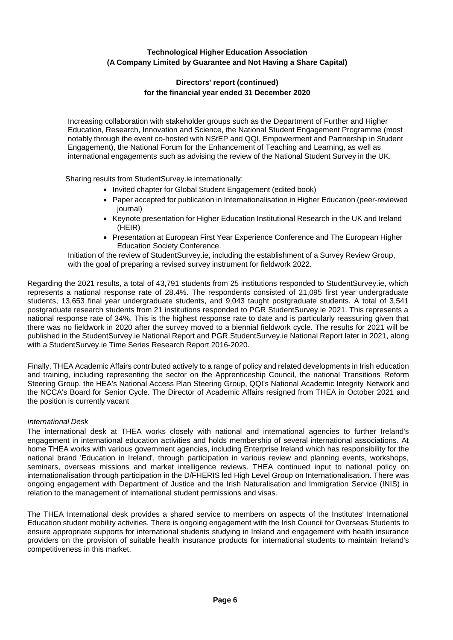## **Directors' report (continued) for the financial year ended 31 December 2020**

Increasing collaboration with stakeholder groups such as the Department of Further and Higher Education, Research, Innovation and Science, the National Student Engagement Programme (most notably through the event co-hosted with NStEP and QQI, Empowerment and Partnership in Student Engagement), the National Forum for the Enhancement of Teaching and Learning, as well as international engagements such as advising the review of the National Student Survey in the UK.

Sharing results from StudentSurvey.ie internationally:

- Invited chapter for Global Student Engagement (edited book)
- Paper accepted for publication in Internationalisation in Higher Education (peer-reviewed journal)
- Keynote presentation for Higher Education Institutional Research in the UK and Ireland (HEIR)
- Presentation at European First Year Experience Conference and The European Higher Education Society Conference.

 Initiation of the review of StudentSurvey.ie, including the establishment of a Survey Review Group, with the goal of preparing a revised survey instrument for fieldwork 2022.

Regarding the 2021 results, a total of 43,791 students from 25 institutions responded to StudentSurvey.ie, which represents a national response rate of 28.4%. The respondents consisted of 21,095 first year undergraduate students, 13,653 final year undergraduate students, and 9,043 taught postgraduate students. A total of 3,541 postgraduate research students from 21 institutions responded to PGR StudentSurvey.ie 2021. This represents a national response rate of 34%. This is the highest response rate to date and is particularly reassuring given that there was no fieldwork in 2020 after the survey moved to a biennial fieldwork cycle. The results for 2021 will be published in the StudentSurvey.ie National Report and PGR StudentSurvey.ie National Report later in 2021, along with a StudentSurvey.ie Time Series Research Report 2016-2020.

Finally, THEA Academic Affairs contributed actively to a range of policy and related developments in Irish education and training, including representing the sector on the Apprenticeship Council, the national Transitions Reform Steering Group, the HEA's National Access Plan Steering Group, QQI's National Academic Integrity Network and the NCCA's Board for Senior Cycle. The Director of Academic Affairs resigned from THEA in October 2021 and the position is currently vacant

### *International Desk*

The international desk at THEA works closely with national and international agencies to further Ireland's engagement in international education activities and holds membership of several international associations. At home THEA works with various government agencies, including Enterprise Ireland which has responsibility for the national brand 'Education in Ireland', through participation in various review and planning events, workshops, seminars, overseas missions and market intelligence reviews. THEA continued input to national policy on internationalisation through participation in the D/FHERIS led High Level Group on Internationalisation. There was ongoing engagement with Department of Justice and the Irish Naturalisation and Immigration Service (INIS) in relation to the management of international student permissions and visas.

The THEA International desk provides a shared service to members on aspects of the Institutes' International Education student mobility activities. There is ongoing engagement with the Irish Council for Overseas Students to ensure appropriate supports for international students studying in Ireland and engagement with health insurance providers on the provision of suitable health insurance products for international students to maintain Ireland's competitiveness in this market.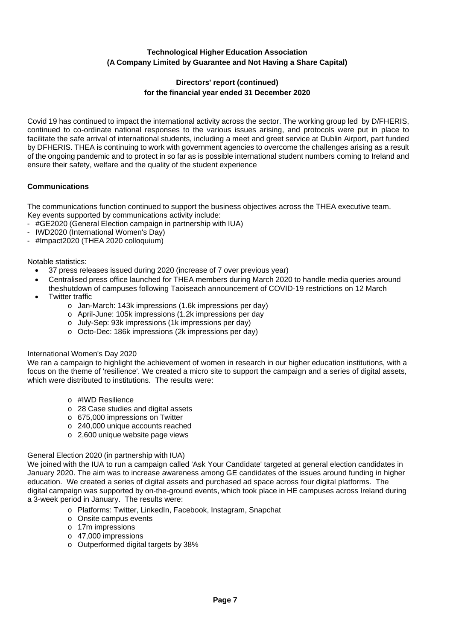## **Directors' report (continued) for the financial year ended 31 December 2020**

Covid 19 has continued to impact the international activity across the sector. The working group led by D/FHERIS, continued to co-ordinate national responses to the various issues arising, and protocols were put in place to facilitate the safe arrival of international students, including a meet and greet service at Dublin Airport, part funded by DFHERIS. THEA is continuing to work with government agencies to overcome the challenges arising as a result of the ongoing pandemic and to protect in so far as is possible international student numbers coming to Ireland and ensure their safety, welfare and the quality of the student experience

## **Communications**

The communications function continued to support the business objectives across the THEA executive team. Key events supported by communications activity include:

- #GE2020 (General Election campaign in partnership with IUA)
- IWD2020 (International Women's Day)
- #Impact2020 (THEA 2020 colloquium)

Notable statistics:

- 37 press releases issued during 2020 (increase of 7 over previous year)
- Centralised press office launched for THEA members during March 2020 to handle media queries around the shutdown of campuses following Taoiseach announcement of COVID-19 restrictions on 12 March
- **Twitter traffic** 
	- o Jan-March: 143k impressions (1.6k impressions per day)
	- o April-June: 105k impressions (1.2k impressions per day
	- o July-Sep: 93k impressions (1k impressions per day)
	- o Octo-Dec: 186k impressions (2k impressions per day)

### International Women's Day 2020

We ran a campaign to highlight the achievement of women in research in our higher education institutions, with a focus on the theme of 'resilience'. We created a micro site to support the campaign and a series of digital assets, which were distributed to institutions. The results were:

- o #IWD Resilience
- o 28 Case studies and digital assets
- o 675,000 impressions on Twitter
- o 240,000 unique accounts reached
- o 2,600 unique website page views

### General Election 2020 (in partnership with IUA)

We joined with the IUA to run a campaign called 'Ask Your Candidate' targeted at general election candidates in January 2020. The aim was to increase awareness among GE candidates of the issues around funding in higher education. We created a series of digital assets and purchased ad space across four digital platforms. The digital campaign was supported by on-the-ground events, which took place in HE campuses across Ireland during a 3-week period in January. The results were:

- o Platforms: Twitter, LinkedIn, Facebook, Instagram, Snapchat
- o Onsite campus events
- o 17m impressions
- o 47,000 impressions
- o Outperformed digital targets by 38%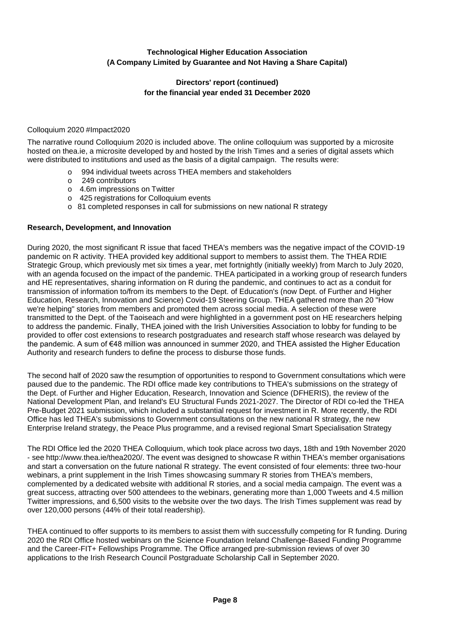### **Directors' report (continued) for the financial year ended 31 December 2020**

#### Colloquium 2020 #Impact2020

The narrative round Colloquium 2020 is included above. The online colloquium was supported by a microsite hosted on thea.ie, a microsite developed by and hosted by the Irish Times and a series of digital assets which were distributed to institutions and used as the basis of a digital campaign. The results were:

- o 994 individual tweets across THEA members and stakeholders
- o 249 contributors
- o 4.6m impressions on Twitter
- o 425 registrations for Colloquium events
- o 81 completed responses in call for submissions on new national R strategy

#### **Research, Development, and Innovation**

During 2020, the most significant R issue that faced THEA's members was the negative impact of the COVID-19 pandemic on R activity. THEA provided key additional support to members to assist them. The THEA RDIE Strategic Group, which previously met six times a year, met fortnightly (initially weekly) from March to July 2020, with an agenda focused on the impact of the pandemic. THEA participated in a working group of research funders and HE representatives, sharing information on R during the pandemic, and continues to act as a conduit for transmission of information to/from its members to the Dept. of Education's (now Dept. of Further and Higher Education, Research, Innovation and Science) Covid-19 Steering Group. THEA gathered more than 20 "How we're helping" stories from members and promoted them across social media. A selection of these were transmitted to the Dept. of the Taoiseach and were highlighted in a government post on HE researchers helping to address the pandemic. Finally, THEA joined with the Irish Universities Association to lobby for funding to be provided to offer cost extensions to research postgraduates and research staff whose research was delayed by the pandemic. A sum of €48 million was announced in summer 2020, and THEA assisted the Higher Education Authority and research funders to define the process to disburse those funds.

The second half of 2020 saw the resumption of opportunities to respond to Government consultations which were paused due to the pandemic. The RDI office made key contributions to THEA's submissions on the strategy of the Dept. of Further and Higher Education, Research, Innovation and Science (DFHERIS), the review of the National Development Plan, and Ireland's EU Structural Funds 2021-2027. The Director of RDI co-led the THEA Pre-Budget 2021 submission, which included a substantial request for investment in R. More recently, the RDI Office has led THEA's submissions to Government consultations on the new national R strategy, the new Enterprise Ireland strategy, the Peace Plus programme, and a revised regional Smart Specialisation Strategy

The RDI Office led the 2020 THEA Colloquium, which took place across two days, 18th and 19th November 2020 - see [http://www.thea.ie/thea2020/.](http://www.thea.ie/thea2020/) The event was designed to showcase R within THEA's member organisations and start a conversation on the future national R strategy. The event consisted of four elements: three two-hour webinars, a print supplement in the Irish Times showcasing summary R stories from THEA's members, complemented by a dedicated website with additional R stories, and a social media campaign. The event was a great success, attracting over 500 attendees to the webinars, generating more than 1,000 Tweets and 4.5 million Twitter impressions, and 6,500 visits to the website over the two days. The Irish Times supplement was read by over 120,000 persons (44% of their total readership).

THEA continued to offer supports to its members to assist them with successfully competing for R funding. During 2020 the RDI Office hosted webinars on the Science Foundation Ireland Challenge-Based Funding Programme and the Career-FIT+ Fellowships Programme. The Office arranged pre-submission reviews of over 30 applications to the Irish Research Council Postgraduate Scholarship Call in September 2020.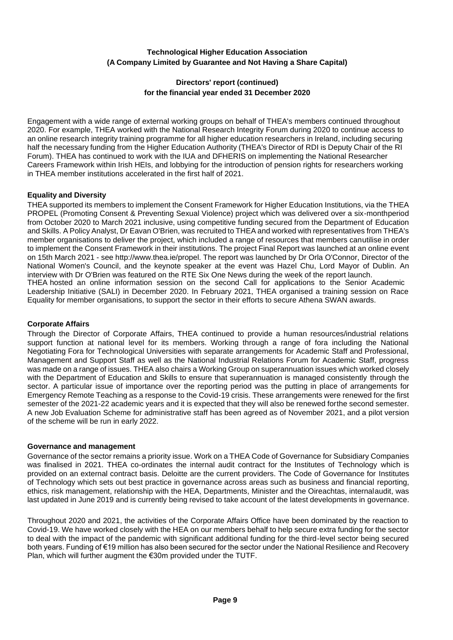## **Directors' report (continued) for the financial year ended 31 December 2020**

Engagement with a wide range of external working groups on behalf of THEA's members continued throughout 2020. For example, THEA worked with the National Research Integrity Forum during 2020 to continue access to an online research integrity training programme for all higher education researchers in Ireland, including securing half the necessary funding from the Higher Education Authority (THEA's Director of RDI is Deputy Chair of the RI Forum). THEA has continued to work with the IUA and DFHERIS on implementing the National Researcher Careers Framework within Irish HEIs, and lobbying for the introduction of pension rights for researchers working in THEA member institutions accelerated in the first half of 2021.

## **Equality and Diversity**

THEA supported its members to implement the Consent Framework for Higher Education Institutions, via the THEA PROPEL (Promoting Consent & Preventing Sexual Violence) project which was delivered over a six-monthperiod from October 2020 to March 2021 inclusive, using competitive funding secured from the Department of Education and Skills. A Policy Analyst, Dr Eavan O'Brien, was recruited to THEA and worked with representatives from THEA's member organisations to deliver the project, which included a range of resources that members canutilise in order to implement the Consent Framework in their institutions. The project Final Report was launched at an online event on 15th March 2021 - see [http://www.thea.ie/propel.](http://www.thea.ie/propel) The report was launched by Dr Orla O'Connor, Director of the National Women's Council, and the keynote speaker at the event was Hazel Chu, Lord Mayor of Dublin. An interview with Dr O'Brien was featured on the RTE Six One News during the week of the report launch. THEA hosted an online information session on the second Call for applications to the Senior Academic Leadership Initiative (SALI) in December 2020. In February 2021, THEA organised a training session on Race Equality for member organisations, to support the sector in their efforts to secure Athena SWAN awards.

## **Corporate Affairs**

Through the Director of Corporate Affairs, THEA continued to provide a human resources/industrial relations support function at national level for its members. Working through a range of fora including the National Negotiating Fora for Technological Universities with separate arrangements for Academic Staff and Professional, Management and Support Staff as well as the National Industrial Relations Forum for Academic Staff, progress was made on a range of issues. THEA also chairs a Working Group on superannuation issues which worked closely with the Department of Education and Skills to ensure that superannuation is managed consistently through the sector. A particular issue of importance over the reporting period was the putting in place of arrangements for Emergency Remote Teaching as a response to the Covid-19 crisis. These arrangements were renewed for the first semester of the 2021-22 academic years and it is expected that they will also be renewed forthe second semester. A new Job Evaluation Scheme for administrative staff has been agreed as of November 2021, and a pilot version of the scheme will be run in early 2022.

### **Governance and management**

Governance of the sector remains a priority issue. Work on a THEA Code of Governance for Subsidiary Companies was finalised in 2021. THEA co-ordinates the internal audit contract for the Institutes of Technology which is provided on an external contract basis. Deloitte are the current providers. The Code of Governance for Institutes of Technology which sets out best practice in governance across areas such as business and financial reporting, ethics, risk management, relationship with the HEA, Departments, Minister and the Oireachtas, internalaudit, was last updated in June 2019 and is currently being revised to take account of the latest developments in governance.

Throughout 2020 and 2021, the activities of the Corporate Affairs Office have been dominated by the reaction to Covid-19. We have worked closely with the HEA on our members behalf to help secure extra funding for the sector to deal with the impact of the pandemic with significant additional funding for the third-level sector being secured both years. Funding of €19 million has also been secured for the sector under the National Resilience and Recovery Plan, which will further augment the €30m provided under the TUTF.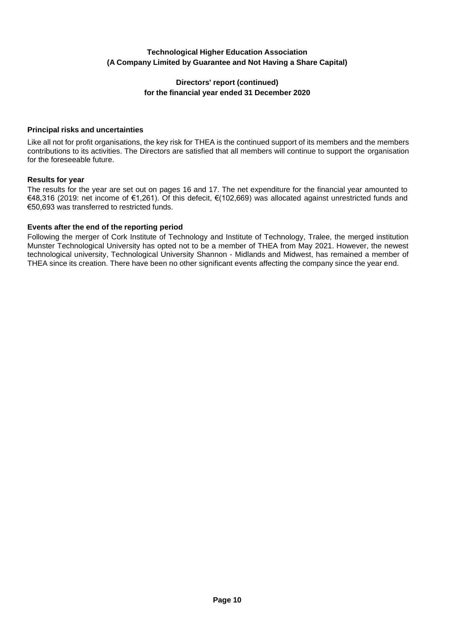### **Directors' report (continued) for the financial year ended 31 December 2020**

### **Principal risks and uncertainties**

Like all not for profit organisations, the key risk for THEA is the continued support of its members and the members contributions to its activities. The Directors are satisfied that all members will continue to support the organisation for the foreseeable future.

#### **Results for year**

The results for the year are set out on pages 16 and 17. The net expenditure for the financial year amounted to €48,316 (2019: net income of €1,261). Of this defecit, €(102,669) was allocated against unrestricted funds and €50,693 was transferred to restricted funds.

### **Events after the end of the reporting period**

Following the merger of Cork Institute of Technology and Institute of Technology, Tralee, the merged institution Munster Technological University has opted not to be a member of THEA from May 2021. However, the newest technological university, Technological University Shannon - Midlands and Midwest, has remained a member of THEA since its creation. There have been no other significant events affecting the company since the year end.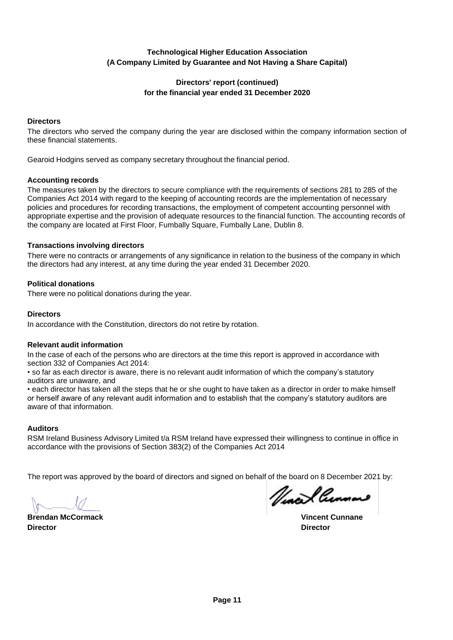## **Directors' report (continued) for the financial year ended 31 December 2020**

## **Directors**

The directors who served the company during the year are disclosed within the company information section of these financial statements.

Gearoid Hodgins served as company secretary throughout the financial period.

## **Accounting records**

The measures taken by the directors to secure compliance with the requirements of sections 281 to 285 of the Companies Act 2014 with regard to the keeping of accounting records are the implementation of necessary policies and procedures for recording transactions, the employment of competent accounting personnel with appropriate expertise and the provision of adequate resources to the financial function. The accounting records of the company are located at First Floor, Fumbally Square, Fumbally Lane, Dublin 8.

## **Transactions involving directors**

There were no contracts or arrangements of any significance in relation to the business of the company in which the directors had any interest, at any time during the year ended 31 December 2020.

## **Political donations**

There were no political donations during the year.

### **Directors**

In accordance with the Constitution, directors do not retire by rotation.

### **Relevant audit information**

In the case of each of the persons who are directors at the time this report is approved in accordance with section 332 of Companies Act 2014:

• so far as each director is aware, there is no relevant audit information of which the company's statutory auditors are unaware, and

• each director has taken all the steps that he or she ought to have taken as a director in order to make himself or herself aware of any relevant audit information and to establish that the company's statutory auditors are aware of that information.

## **Auditors**

RSM Ireland Business Advisory Limited t/a RSM Ireland have expressed their willingness to continue in office in accordance with the provisions of Section 383(2) of the Companies Act 2014

The report was approved by the board of directors and signed on behalf of the board on 8 December 2021 by:

**Brendan McCormack Vincent Cunnane Director Director**

Vince Cummano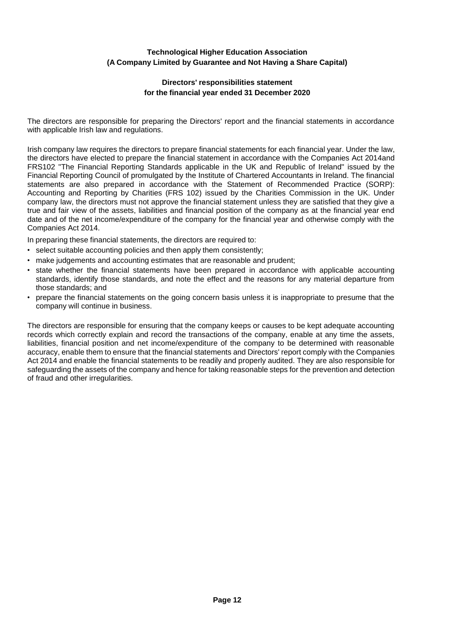## **Directors' responsibilities statement for the financial year ended 31 December 2020**

The directors are responsible for preparing the Directors' report and the financial statements in accordance with applicable Irish law and regulations.

Irish company law requires the directors to prepare financial statements for each financial year. Under the law, the directors have elected to prepare the financial statement in accordance with the Companies Act 2014and FRS102 "The Financial Reporting Standards applicable in the UK and Republic of Ireland" issued by the Financial Reporting Council of promulgated by the Institute of Chartered Accountants in Ireland. The financial statements are also prepared in accordance with the Statement of Recommended Practice (SORP): Accounting and Reporting by Charities (FRS 102) issued by the Charities Commission in the UK. Under company law, the directors must not approve the financial statement unless they are satisfied that they give a true and fair view of the assets, liabilities and financial position of the company as at the financial year end date and of the net income/expenditure of the company for the financial year and otherwise comply with the Companies Act 2014.

In preparing these financial statements, the directors are required to:

- select suitable accounting policies and then apply them consistently;
- make judgements and accounting estimates that are reasonable and prudent;
- state whether the financial statements have been prepared in accordance with applicable accounting standards, identify those standards, and note the effect and the reasons for any material departure from those standards; and
- prepare the financial statements on the going concern basis unless it is inappropriate to presume that the company will continue in business.

The directors are responsible for ensuring that the company keeps or causes to be kept adequate accounting records which correctly explain and record the transactions of the company, enable at any time the assets, liabilities, financial position and net income/expenditure of the company to be determined with reasonable accuracy, enable them to ensure that the financial statements and Directors' report comply with the Companies Act 2014 and enable the financial statements to be readily and properly audited. They are also responsible for safeguarding the assets of the company and hence for taking reasonable steps for the prevention and detection of fraud and other irregularities.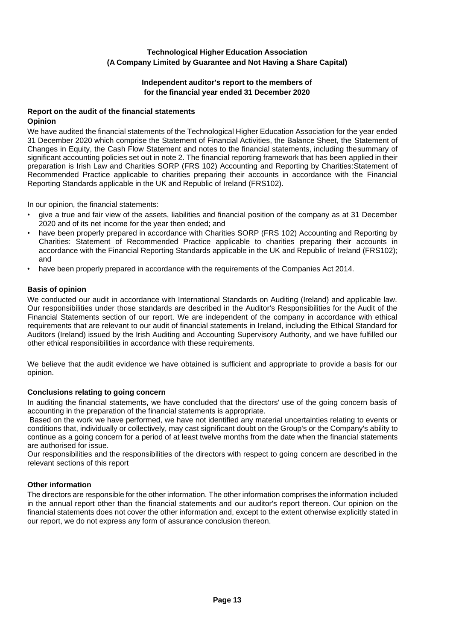## **Independent auditor's report to the members of for the financial year ended 31 December 2020**

#### **Report on the audit of the financial statements Opinion**

We have audited the financial statements of the Technological Higher Education Association for the year ended 31 December 2020 which comprise the Statement of Financial Activities, the Balance Sheet, the Statement of Changes in Equity, the Cash Flow Statement and notes to the financial statements, including thesummary of significant accounting policies set out in note 2. The financial reporting framework that has been applied in their preparation is Irish Law and Charities SORP (FRS 102) Accounting and Reporting by Charities:Statement of Recommended Practice applicable to charities preparing their accounts in accordance with the Financial Reporting Standards applicable in the UK and Republic of Ireland (FRS102).

In our opinion, the financial statements:

- give a true and fair view of the assets, liabilities and financial position of the company as at 31 December 2020 and of its net income for the year then ended; and
- have been properly prepared in accordance with Charities SORP (FRS 102) Accounting and Reporting by Charities: Statement of Recommended Practice applicable to charities preparing their accounts in accordance with the Financial Reporting Standards applicable in the UK and Republic of Ireland (FRS102); and
- have been properly prepared in accordance with the requirements of the Companies Act 2014.

## **Basis of opinion**

We conducted our audit in accordance with International Standards on Auditing (Ireland) and applicable law. Our responsibilities under those standards are described in the Auditor's Responsibilities for the Audit of the Financial Statements section of our report. We are independent of the company in accordance with ethical requirements that are relevant to our audit of financial statements in Ireland, including the Ethical Standard for Auditors (Ireland) issued by the Irish Auditing and Accounting Supervisory Authority, and we have fulfilled our other ethical responsibilities in accordance with these requirements.

We believe that the audit evidence we have obtained is sufficient and appropriate to provide a basis for our opinion.

### **Conclusions relating to going concern**

In auditing the financial statements, we have concluded that the directors' use of the going concern basis of accounting in the preparation of the financial statements is appropriate.

Based on the work we have performed, we have not identified any material uncertainties relating to events or conditions that, individually or collectively, may cast significant doubt on the Group's or the Company's ability to continue as a going concern for a period of at least twelve months from the date when the financial statements are authorised for issue.

Our responsibilities and the responsibilities of the directors with respect to going concern are described in the relevant sections of this report

### **Other information**

The directors are responsible for the other information. The other information comprises the information included in the annual report other than the financial statements and our auditor's report thereon. Our opinion on the financial statements does not cover the other information and, except to the extent otherwise explicitly stated in our report, we do not express any form of assurance conclusion thereon.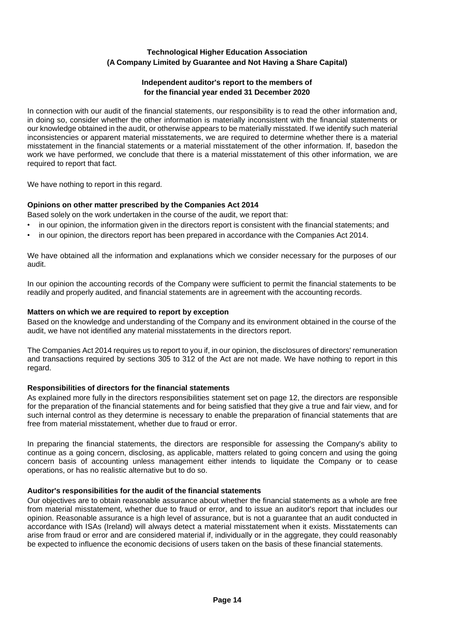### **Independent auditor's report to the members of for the financial year ended 31 December 2020**

In connection with our audit of the financial statements, our responsibility is to read the other information and, in doing so, consider whether the other information is materially inconsistent with the financial statements or our knowledge obtained in the audit, or otherwise appears to be materially misstated. If we identify such material inconsistencies or apparent material misstatements, we are required to determine whether there is a material misstatement in the financial statements or a material misstatement of the other information. If, basedon the work we have performed, we conclude that there is a material misstatement of this other information, we are required to report that fact.

We have nothing to report in this regard.

### **Opinions on other matter prescribed by the Companies Act 2014**

Based solely on the work undertaken in the course of the audit, we report that:

- in our opinion, the information given in the directors report is consistent with the financial statements; and
- in our opinion, the directors report has been prepared in accordance with the Companies Act 2014.

We have obtained all the information and explanations which we consider necessary for the purposes of our audit.

In our opinion the accounting records of the Company were sufficient to permit the financial statements to be readily and properly audited, and financial statements are in agreement with the accounting records.

#### **Matters on which we are required to report by exception**

Based on the knowledge and understanding of the Company and its environment obtained in the course of the audit, we have not identified any material misstatements in the directors report.

The Companies Act 2014 requires us to report to you if, in our opinion, the disclosures of directors' remuneration and transactions required by sections 305 to 312 of the Act are not made. We have nothing to report in this regard.

### **Responsibilities of directors for the financial statements**

As explained more fully in the directors responsibilities statement set on page 12, the directors are responsible for the preparation of the financial statements and for being satisfied that they give a true and fair view, and for such internal control as they determine is necessary to enable the preparation of financial statements that are free from material misstatement, whether due to fraud or error.

In preparing the financial statements, the directors are responsible for assessing the Company's ability to continue as a going concern, disclosing, as applicable, matters related to going concern and using the going concern basis of accounting unless management either intends to liquidate the Company or to cease operations, or has no realistic alternative but to do so.

### **Auditor's responsibilities for the audit of the financial statements**

Our objectives are to obtain reasonable assurance about whether the financial statements as a whole are free from material misstatement, whether due to fraud or error, and to issue an auditor's report that includes our opinion. Reasonable assurance is a high level of assurance, but is not a guarantee that an audit conducted in accordance with ISAs (Ireland) will always detect a material misstatement when it exists. Misstatements can arise from fraud or error and are considered material if, individually or in the aggregate, they could reasonably be expected to influence the economic decisions of users taken on the basis of these financial statements.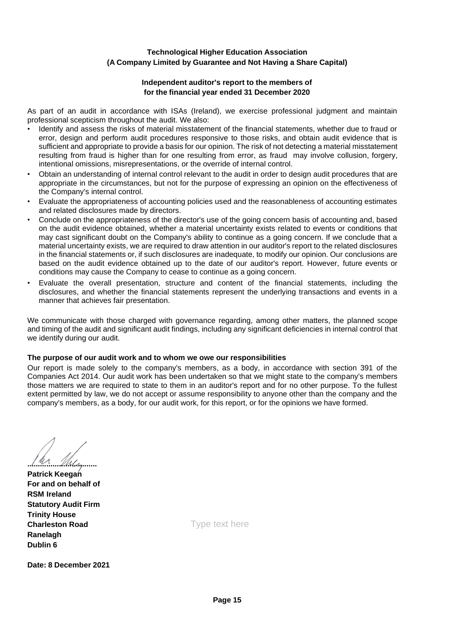## **Independent auditor's report to the members of for the financial year ended 31 December 2020**

As part of an audit in accordance with ISAs (Ireland), we exercise professional judgment and maintain professional scepticism throughout the audit. We also:

- Identify and assess the risks of material misstatement of the financial statements, whether due to fraud or error, design and perform audit procedures responsive to those risks, and obtain audit evidence that is sufficient and appropriate to provide a basis for our opinion. The risk of not detecting a material misstatement resulting from fraud is higher than for one resulting from error, as fraud may involve collusion, forgery, intentional omissions, misrepresentations, or the override of internal control.
- Obtain an understanding of internal control relevant to the audit in order to design audit procedures that are appropriate in the circumstances, but not for the purpose of expressing an opinion on the effectiveness of the Company's internal control.
- Evaluate the appropriateness of accounting policies used and the reasonableness of accounting estimates and related disclosures made by directors.
- Conclude on the appropriateness of the director's use of the going concern basis of accounting and, based on the audit evidence obtained, whether a material uncertainty exists related to events or conditions that may cast significant doubt on the Company's ability to continue as a going concern. If we conclude that a material uncertainty exists, we are required to draw attention in our auditor's report to the related disclosures in the financial statements or, if such disclosures are inadequate, to modify our opinion. Our conclusions are based on the audit evidence obtained up to the date of our auditor's report. However, future events or conditions may cause the Company to cease to continue as a going concern.
- Evaluate the overall presentation, structure and content of the financial statements, including the disclosures, and whether the financial statements represent the underlying transactions and events in a manner that achieves fair presentation.

We communicate with those charged with governance regarding, among other matters, the planned scope and timing of the audit and significant audit findings, including any significant deficiencies in internal control that we identify during our audit.

#### **The purpose of our audit work and to whom we owe our responsibilities**

Our report is made solely to the company's members, as a body, in accordance with section 391 of the Companies Act 2014. Our audit work has been undertaken so that we might state to the company's members those matters we are required to state to them in an auditor's report and for no other purpose. To the fullest extent permitted by law, we do not accept or assume responsibility to anyone other than the company and the company's members, as a body, for our audit work, for this report, or for the opinions we have formed.

**.................................**

**Patrick Keegan For and on behalf of RSM Ireland Statutory Audit Firm Trinity House Charleston Road Ranelagh Dublin 6**

**Date: 8 December 2021**

Type text here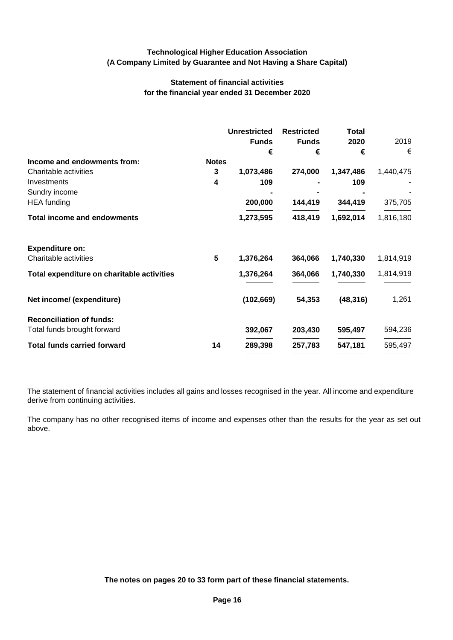## **Statement of financial activities for the financial year ended 31 December 2020**

|                                            |              | <b>Unrestricted</b><br><b>Funds</b><br>€ | <b>Restricted</b><br><b>Funds</b><br>€ | <b>Total</b><br>2020<br>€ | 2019<br>€ |
|--------------------------------------------|--------------|------------------------------------------|----------------------------------------|---------------------------|-----------|
| Income and endowments from:                | <b>Notes</b> |                                          |                                        |                           |           |
| Charitable activities                      | 3            | 1,073,486                                | 274,000                                | 1,347,486                 | 1,440,475 |
| Investments                                | 4            | 109                                      |                                        | 109                       |           |
| Sundry income                              |              |                                          |                                        |                           |           |
| <b>HEA</b> funding                         |              | 200,000                                  | 144,419                                | 344,419                   | 375,705   |
| <b>Total income and endowments</b>         |              | 1,273,595                                | 418,419                                | 1,692,014                 | 1,816,180 |
| <b>Expenditure on:</b>                     |              |                                          |                                        |                           |           |
| Charitable activities                      | 5            | 1,376,264                                | 364,066                                | 1,740,330                 | 1,814,919 |
| Total expenditure on charitable activities |              | 1,376,264                                | 364,066                                | 1,740,330                 | 1,814,919 |
| Net income/ (expenditure)                  |              | (102, 669)                               | 54,353                                 | (48, 316)                 | 1,261     |
| <b>Reconciliation of funds:</b>            |              |                                          |                                        |                           |           |
| Total funds brought forward                |              | 392,067                                  | 203,430                                | 595,497                   | 594,236   |
| <b>Total funds carried forward</b>         | 14           | 289,398                                  | 257,783                                | 547,181                   | 595,497   |

The statement of financial activities includes all gains and losses recognised in the year. All income and expenditure derive from continuing activities.

The company has no other recognised items of income and expenses other than the results for the year as set out above.

**The notes on pages 20 to 33 form part of these financial statements.**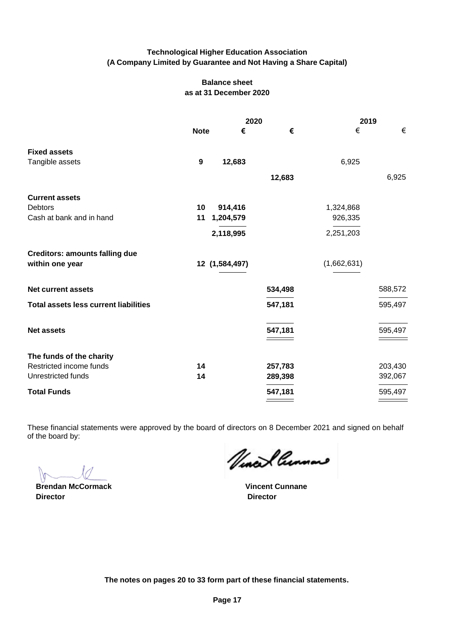## **Balance sheet as at 31 December 2020**

|                                              | 2020        |                |         | 2019        |         |  |
|----------------------------------------------|-------------|----------------|---------|-------------|---------|--|
|                                              | <b>Note</b> | €              | €       | €           | €       |  |
| <b>Fixed assets</b>                          |             |                |         |             |         |  |
| Tangible assets                              | 9           | 12,683         |         | 6,925       |         |  |
|                                              |             |                | 12,683  |             | 6,925   |  |
| <b>Current assets</b>                        |             |                |         |             |         |  |
| <b>Debtors</b>                               | 10          | 914,416        |         | 1,324,868   |         |  |
| Cash at bank and in hand                     | 11          | 1,204,579      |         | 926,335     |         |  |
|                                              |             | 2,118,995      |         | 2,251,203   |         |  |
| <b>Creditors: amounts falling due</b>        |             |                |         |             |         |  |
| within one year                              |             | 12 (1,584,497) |         | (1,662,631) |         |  |
| <b>Net current assets</b>                    |             |                | 534,498 |             | 588,572 |  |
| <b>Total assets less current liabilities</b> |             |                | 547,181 |             | 595,497 |  |
| <b>Net assets</b>                            |             |                | 547,181 |             | 595,497 |  |
|                                              |             |                |         |             |         |  |
| The funds of the charity                     |             |                |         |             |         |  |
| Restricted income funds                      | 14          |                | 257,783 |             | 203,430 |  |
| Unrestricted funds                           | 14          |                | 289,398 |             | 392,067 |  |
| <b>Total Funds</b>                           |             |                | 547,181 |             | 595,497 |  |

These financial statements were approved by the board of directors on 8 December 2021 and signed on behalf of the board by:

 $\sqrt{ }$ 

**Brendan McCormack Vincent Cunnane Director Director**

Vince Cummano

**The notes on pages 20 to 33 form part of these financial statements.**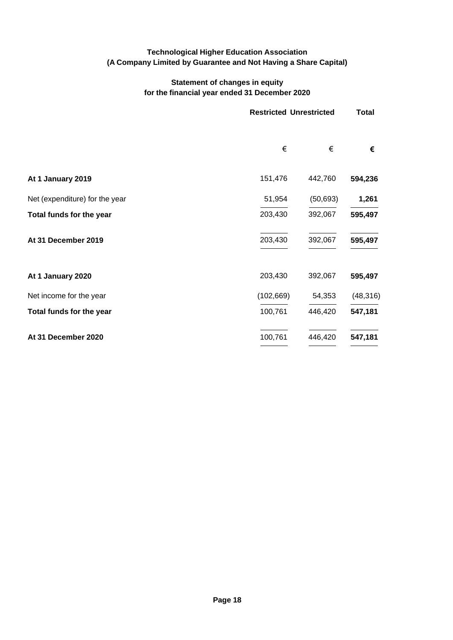## **Statement of changes in equity for the financial year ended 31 December 2020**

|                                | <b>Restricted Unrestricted</b> |           |           |
|--------------------------------|--------------------------------|-----------|-----------|
|                                | €                              | €         | €         |
| At 1 January 2019              | 151,476                        | 442,760   | 594,236   |
| Net (expenditure) for the year | 51,954                         | (50, 693) | 1,261     |
| Total funds for the year       | 203,430                        | 392,067   | 595,497   |
| At 31 December 2019            | 203,430                        | 392,067   | 595,497   |
| At 1 January 2020              | 203,430                        | 392,067   | 595,497   |
| Net income for the year        | (102, 669)                     | 54,353    | (48, 316) |
| Total funds for the year       | 100,761                        | 446,420   | 547,181   |
| At 31 December 2020            | 100,761                        | 446,420   | 547,181   |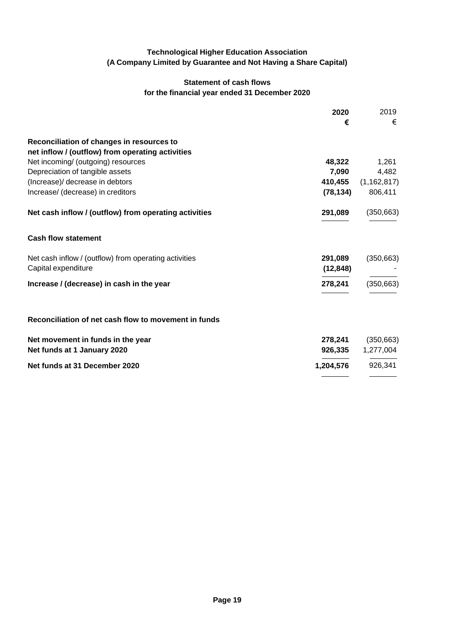## **Statement of cash flows for the financial year ended 31 December 2020**

|                                                       | 2020      | 2019                     |
|-------------------------------------------------------|-----------|--------------------------|
|                                                       | €         | €                        |
| Reconciliation of changes in resources to             |           |                          |
| net inflow / (outflow) from operating activities      |           |                          |
| Net incoming/ (outgoing) resources                    | 48,322    | 1,261                    |
| Depreciation of tangible assets                       | 7,090     | 4,482                    |
| (Increase)/ decrease in debtors                       |           | 410,455 (1,162,817)      |
| Increase/ (decrease) in creditors                     | (78, 134) | 806,411                  |
| Net cash inflow / (outflow) from operating activities | 291,089   | (350, 663)               |
| <b>Cash flow statement</b>                            |           |                          |
| Net cash inflow / (outflow) from operating activities | 291,089   | (350, 663)               |
| Capital expenditure                                   | (12, 848) |                          |
| Increase / (decrease) in cash in the year             | 278,241   | (350, 663)               |
| Reconciliation of net cash flow to movement in funds  |           |                          |
| Net movement in funds in the year                     | 278,241   | (350, 663)               |
| Net funds at 1 January 2020                           |           | <b>926,335</b> 1,277,004 |
| Net funds at 31 December 2020                         | 1,204,576 | 926,341                  |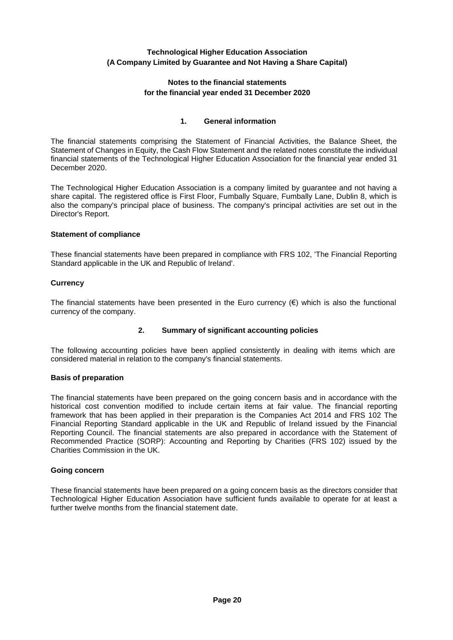### **Notes to the financial statements for the financial year ended 31 December 2020**

## **1. General information**

The financial statements comprising the Statement of Financial Activities, the Balance Sheet, the Statement of Changes in Equity, the Cash Flow Statement and the related notes constitute the individual financial statements of the Technological Higher Education Association for the financial year ended 31 December 2020.

The Technological Higher Education Association is a company limited by guarantee and not having a share capital. The registered office is First Floor, Fumbally Square, Fumbally Lane, Dublin 8, which is also the company's principal place of business. The company's principal activities are set out in the Director's Report.

### **Statement of compliance**

These financial statements have been prepared in compliance with FRS 102, 'The Financial Reporting Standard applicable in the UK and Republic of Ireland'.

#### **Currency**

The financial statements have been presented in the Euro currency  $(\epsilon)$  which is also the functional currency of the company.

### **2. Summary of significant accounting policies**

The following accounting policies have been applied consistently in dealing with items which are considered material in relation to the company's financial statements.

#### **Basis of preparation**

The financial statements have been prepared on the going concern basis and in accordance with the historical cost convention modified to include certain items at fair value. The financial reporting framework that has been applied in their preparation is the Companies Act 2014 and FRS 102 The Financial Reporting Standard applicable in the UK and Republic of Ireland issued by the Financial Reporting Council. The financial statements are also prepared in accordance with the Statement of Recommended Practice (SORP): Accounting and Reporting by Charities (FRS 102) issued by the Charities Commission in the UK.

### **Going concern**

These financial statements have been prepared on a going concern basis as the directors consider that Technological Higher Education Association have sufficient funds available to operate for at least a further twelve months from the financial statement date.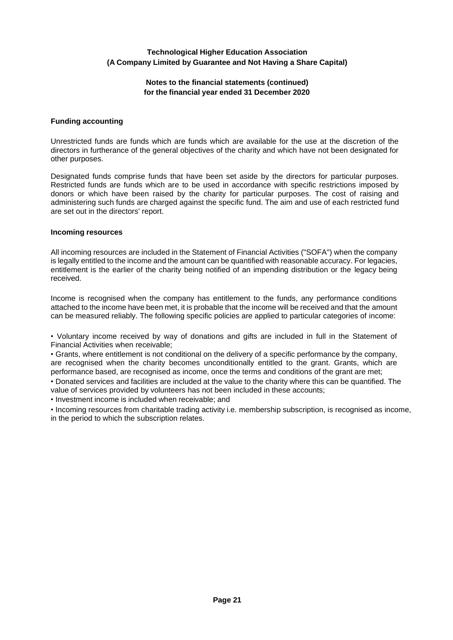### **Notes to the financial statements (continued) for the financial year ended 31 December 2020**

### **Funding accounting**

Unrestricted funds are funds which are funds which are available for the use at the discretion of the directors in furtherance of the general objectives of the charity and which have not been designated for other purposes.

Designated funds comprise funds that have been set aside by the directors for particular purposes. Restricted funds are funds which are to be used in accordance with specific restrictions imposed by donors or which have been raised by the charity for particular purposes. The cost of raising and administering such funds are charged against the specific fund. The aim and use of each restricted fund are set out in the directors' report.

#### **Incoming resources**

All incoming resources are included in the Statement of Financial Activities ("SOFA") when the company is legally entitled to the income and the amount can be quantified with reasonable accuracy. For legacies, entitlement is the earlier of the charity being notified of an impending distribution or the legacy being received.

Income is recognised when the company has entitlement to the funds, any performance conditions attached to the income have been met, it is probable that the income will be received and that the amount can be measured reliably. The following specific policies are applied to particular categories of income:

• Voluntary income received by way of donations and gifts are included in full in the Statement of Financial Activities when receivable;

• Grants, where entitlement is not conditional on the delivery of a specific performance by the company, are recognised when the charity becomes unconditionally entitled to the grant. Grants, which are performance based, are recognised as income, once the terms and conditions of the grant are met;

• Donated services and facilities are included at the value to the charity where this can be quantified. The value of services provided by volunteers has not been included in these accounts;

• Investment income is included when receivable; and

• Incoming resources from charitable trading activity i.e. membership subscription, is recognised as income, in the period to which the subscription relates.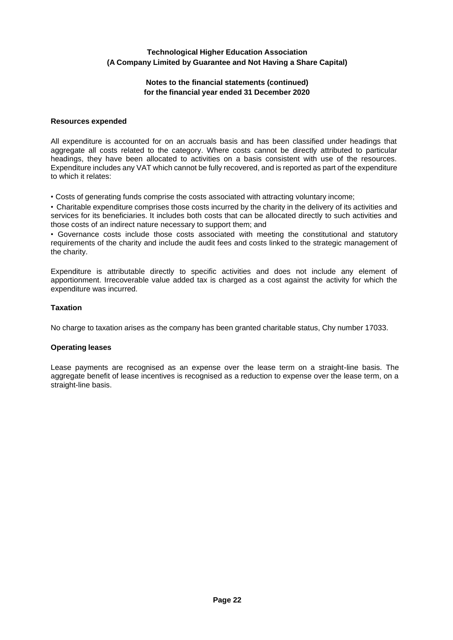## **Notes to the financial statements (continued) for the financial year ended 31 December 2020**

### **Resources expended**

All expenditure is accounted for on an accruals basis and has been classified under headings that aggregate all costs related to the category. Where costs cannot be directly attributed to particular headings, they have been allocated to activities on a basis consistent with use of the resources. Expenditure includes any VAT which cannot be fully recovered, and is reported as part of the expenditure to which it relates:

• Costs of generating funds comprise the costs associated with attracting voluntary income;

• Charitable expenditure comprises those costs incurred by the charity in the delivery of its activities and services for its beneficiaries. It includes both costs that can be allocated directly to such activities and those costs of an indirect nature necessary to support them; and

• Governance costs include those costs associated with meeting the constitutional and statutory requirements of the charity and include the audit fees and costs linked to the strategic management of the charity.

Expenditure is attributable directly to specific activities and does not include any element of apportionment. Irrecoverable value added tax is charged as a cost against the activity for which the expenditure was incurred.

#### **Taxation**

No charge to taxation arises as the company has been granted charitable status, Chy number 17033.

### **Operating leases**

Lease payments are recognised as an expense over the lease term on a straight-line basis. The aggregate benefit of lease incentives is recognised as a reduction to expense over the lease term, on a straight-line basis.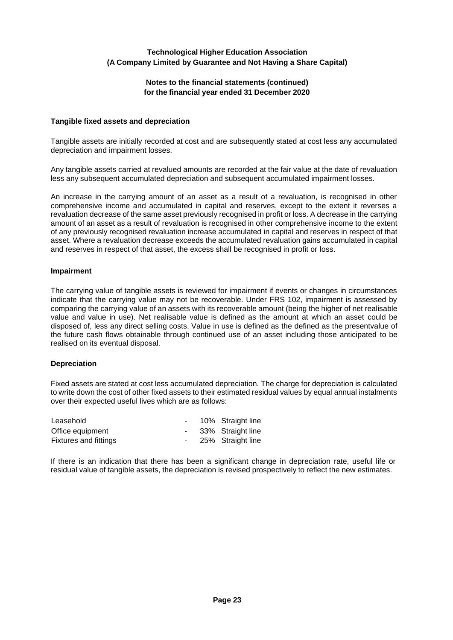## **Notes to the financial statements (continued) for the financial year ended 31 December 2020**

### **Tangible fixed assets and depreciation**

Tangible assets are initially recorded at cost and are subsequently stated at cost less any accumulated depreciation and impairment losses.

Any tangible assets carried at revalued amounts are recorded at the fair value at the date of revaluation less any subsequent accumulated depreciation and subsequent accumulated impairment losses.

An increase in the carrying amount of an asset as a result of a revaluation, is recognised in other comprehensive income and accumulated in capital and reserves, except to the extent it reverses a revaluation decrease of the same asset previously recognised in profit or loss. A decrease in the carrying amount of an asset as a result of revaluation is recognised in other comprehensive income to the extent of any previously recognised revaluation increase accumulated in capital and reserves in respect of that asset. Where a revaluation decrease exceeds the accumulated revaluation gains accumulated in capital and reserves in respect of that asset, the excess shall be recognised in profit or loss.

#### **Impairment**

The carrying value of tangible assets is reviewed for impairment if events or changes in circumstances indicate that the carrying value may not be recoverable. Under FRS 102, impairment is assessed by comparing the carrying value of an assets with its recoverable amount (being the higher of net realisable value and value in use). Net realisable value is defined as the amount at which an asset could be disposed of, less any direct selling costs. Value in use is defined as the defined as the presentvalue of the future cash flows obtainable through continued use of an asset including those anticipated to be realised on its eventual disposal.

### **Depreciation**

Fixed assets are stated at cost less accumulated depreciation. The charge for depreciation is calculated to write down the cost of other fixed assets to their estimated residual values by equal annual instalments over their expected useful lives which are as follows:

| Leasehold             | $\sim$ 10 $\pm$  | 10% Straight line |
|-----------------------|------------------|-------------------|
| Office equipment      |                  | 33% Straight line |
| Fixtures and fittings | $\sim$ 100 $\mu$ | 25% Straight line |

If there is an indication that there has been a significant change in depreciation rate, useful life or residual value of tangible assets, the depreciation is revised prospectively to reflect the new estimates.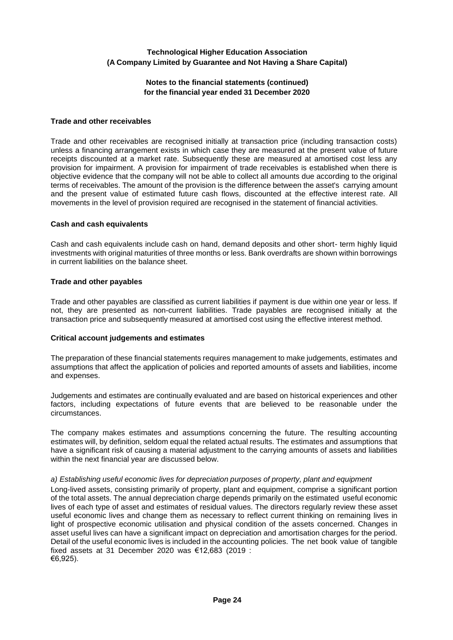## **Notes to the financial statements (continued) for the financial year ended 31 December 2020**

#### **Trade and other receivables**

Trade and other receivables are recognised initially at transaction price (including transaction costs) unless a financing arrangement exists in which case they are measured at the present value of future receipts discounted at a market rate. Subsequently these are measured at amortised cost less any provision for impairment. A provision for impairment of trade receivables is established when there is objective evidence that the company will not be able to collect all amounts due according to the original terms of receivables. The amount of the provision is the difference between the asset's carrying amount and the present value of estimated future cash flows, discounted at the effective interest rate. All movements in the level of provision required are recognised in the statement of financial activities.

#### **Cash and cash equivalents**

Cash and cash equivalents include cash on hand, demand deposits and other short- term highly liquid investments with original maturities of three months or less. Bank overdrafts are shown within borrowings in current liabilities on the balance sheet.

#### **Trade and other payables**

Trade and other payables are classified as current liabilities if payment is due within one year or less. If not, they are presented as non-current liabilities. Trade payables are recognised initially at the transaction price and subsequently measured at amortised cost using the effective interest method.

#### **Critical account judgements and estimates**

The preparation of these financial statements requires management to make judgements, estimates and assumptions that affect the application of policies and reported amounts of assets and liabilities, income and expenses.

Judgements and estimates are continually evaluated and are based on historical experiences and other factors, including expectations of future events that are believed to be reasonable under the circumstances.

The company makes estimates and assumptions concerning the future. The resulting accounting estimates will, by definition, seldom equal the related actual results. The estimates and assumptions that have a significant risk of causing a material adjustment to the carrying amounts of assets and liabilities within the next financial year are discussed below.

#### *a) Establishing useful economic lives for depreciation purposes of property, plant and equipment*

Long-lived assets, consisting primarily of property, plant and equipment, comprise a significant portion of the total assets. The annual depreciation charge depends primarily on the estimated useful economic lives of each type of asset and estimates of residual values. The directors regularly review these asset useful economic lives and change them as necessary to reflect current thinking on remaining lives in light of prospective economic utilisation and physical condition of the assets concerned. Changes in asset useful lives can have a significant impact on depreciation and amortisation charges for the period. Detail of the useful economic lives is included in the accounting policies. The net book value of tangible fixed assets at 31 December 2020 was €12,683 (2019 : €6,925).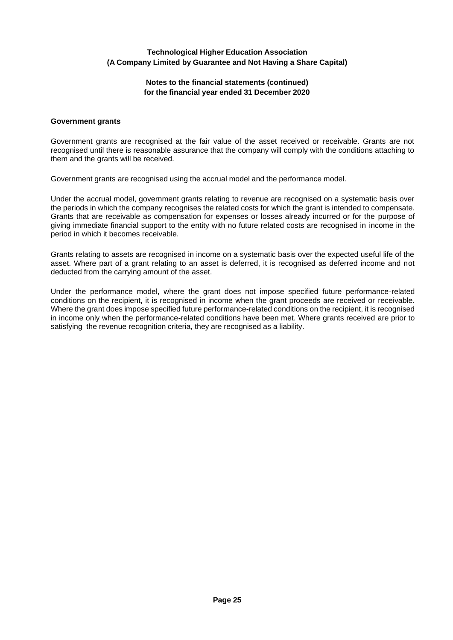## **Notes to the financial statements (continued) for the financial year ended 31 December 2020**

#### **Government grants**

Government grants are recognised at the fair value of the asset received or receivable. Grants are not recognised until there is reasonable assurance that the company will comply with the conditions attaching to them and the grants will be received.

Government grants are recognised using the accrual model and the performance model.

Under the accrual model, government grants relating to revenue are recognised on a systematic basis over the periods in which the company recognises the related costs for which the grant is intended to compensate. Grants that are receivable as compensation for expenses or losses already incurred or for the purpose of giving immediate financial support to the entity with no future related costs are recognised in income in the period in which it becomes receivable.

Grants relating to assets are recognised in income on a systematic basis over the expected useful life of the asset. Where part of a grant relating to an asset is deferred, it is recognised as deferred income and not deducted from the carrying amount of the asset.

Under the performance model, where the grant does not impose specified future performance-related conditions on the recipient, it is recognised in income when the grant proceeds are received or receivable. Where the grant does impose specified future performance-related conditions on the recipient, it is recognised in income only when the performance-related conditions have been met. Where grants received are prior to satisfying the revenue recognition criteria, they are recognised as a liability.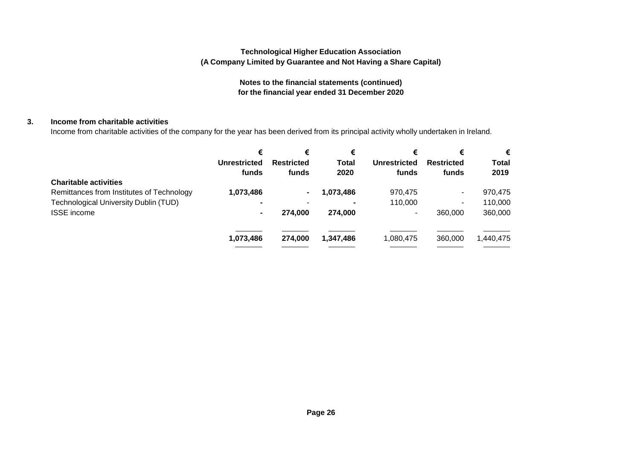**Notes to the financial statements (continued) for the financial year ended 31 December 2020**

## **3. Income from charitable activities**

Income from charitable activities of the company for the year has been derived from its principal activity wholly undertaken in Ireland.

|                                              | €                   | €                 | €         | €            |                   | €            |
|----------------------------------------------|---------------------|-------------------|-----------|--------------|-------------------|--------------|
|                                              | <b>Unrestricted</b> | <b>Restricted</b> | Total     | Unrestricted | <b>Restricted</b> | <b>Total</b> |
|                                              | funds               | funds             | 2020      | funds        | funds             | 2019         |
| <b>Charitable activities</b>                 |                     |                   |           |              |                   |              |
| Remittances from Institutes of Technology    | 1,073,486           | $\blacksquare$    | 1,073,486 | 970,475      | $\sim$            | 970,475      |
| <b>Technological University Dublin (TUD)</b> | $\blacksquare$      |                   |           | 110,000      | $\sim$            | 110.000      |
| <b>ISSE</b> income                           | $\blacksquare$      | 274.000           | 274.000   |              | 360,000           | 360,000      |
|                                              |                     |                   |           |              |                   |              |
|                                              | 1,073,486           | 274,000           | 1,347,486 | 1,080,475    | 360,000           | 1,440,475    |
|                                              |                     |                   |           |              |                   |              |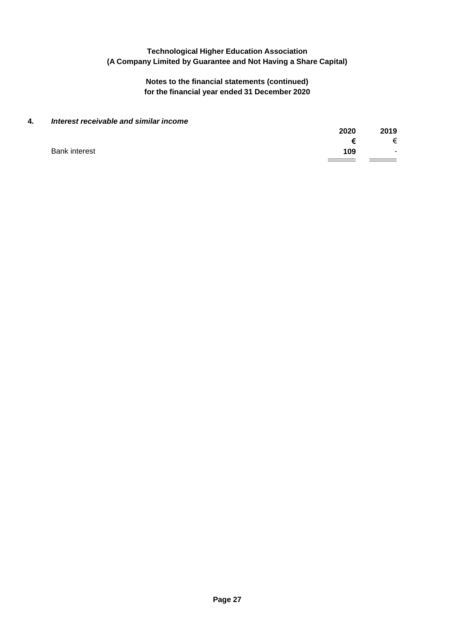# **Notes to the financial statements (continued) for the financial year ended 31 December 2020**

## **4.** *Interest receivable and similar income*

|                      | 2020 | 2019   |
|----------------------|------|--------|
|                      |      | €      |
| <b>Bank interest</b> | 109  | $\sim$ |
|                      |      |        |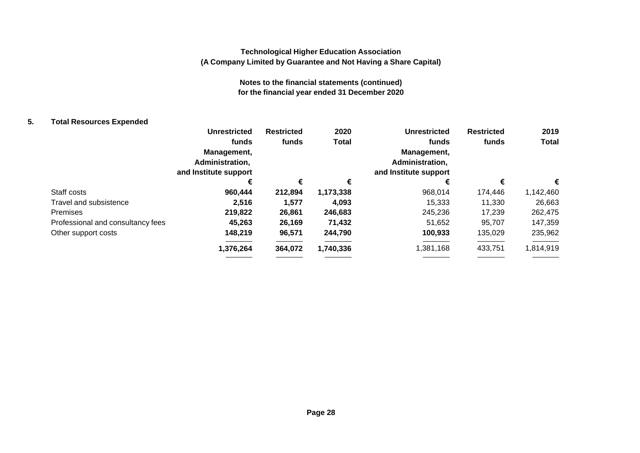**Notes to the financial statements (continued) for the financial year ended 31 December 2020**

## **5. Total Resources Expended**

|                                   | <b>Unrestricted</b>   | <b>Restricted</b> | 2020         | <b>Unrestricted</b>   | <b>Restricted</b> | 2019         |
|-----------------------------------|-----------------------|-------------------|--------------|-----------------------|-------------------|--------------|
|                                   | funds                 | funds             | <b>Total</b> | funds                 | funds             | <b>Total</b> |
|                                   | Management,           |                   |              | Management,           |                   |              |
|                                   | Administration,       |                   |              | Administration,       |                   |              |
|                                   | and Institute support |                   |              | and Institute support |                   |              |
|                                   | €                     | €                 | €            | €                     | €                 | €            |
| Staff costs                       | 960,444               | 212,894           | 1,173,338    | 968,014               | 174.446           | 1,142,460    |
| Travel and subsistence            | 2,516                 | 1,577             | 4.093        | 15,333                | 11,330            | 26,663       |
| <b>Premises</b>                   | 219,822               | 26,861            | 246,683      | 245,236               | 17,239            | 262,475      |
| Professional and consultancy fees | 45,263                | 26,169            | 71,432       | 51,652                | 95,707            | 147,359      |
| Other support costs               | 148,219               | 96,571            | 244,790      | 100,933               | 135,029           | 235,962      |
|                                   | 1,376,264             | 364,072           | 1,740,336    | 1,381,168             | 433,751           | 1,814,919    |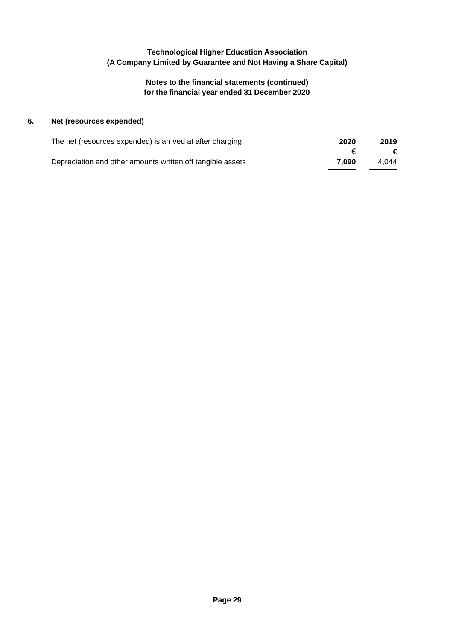## **Notes to the financial statements (continued) for the financial year ended 31 December 2020**

# **6. Net (resources expended)**

| The net (resources expended) is arrived at after charging: | 2020  | 2019  |
|------------------------------------------------------------|-------|-------|
|                                                            |       | €     |
| Depreciation and other amounts written off tangible assets | 7.090 | 4.044 |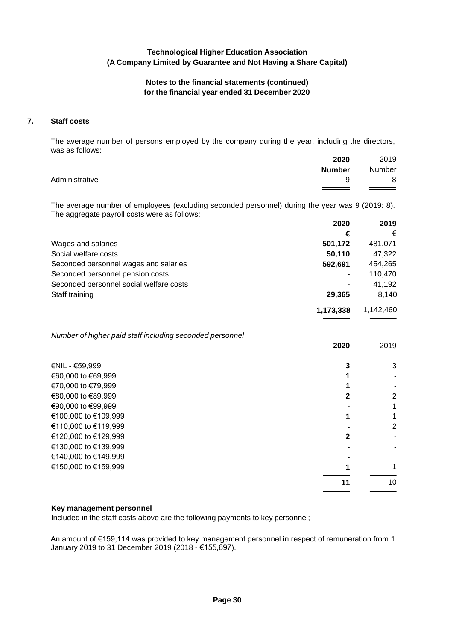## **Notes to the financial statements (continued) for the financial year ended 31 December 2020**

### **7. Staff costs**

The average number of persons employed by the company during the year, including the directors, was as follows:

|                | 2020          | 2019   |
|----------------|---------------|--------|
|                | <b>Number</b> | Number |
| Administrative | a             | - 8    |
|                |               |        |

The average number of employees (excluding seconded personnel) during the year was 9 (2019: 8). The aggregate payroll costs were as follows: **2020 2019**

|                                         | 2020           | 2019      |
|-----------------------------------------|----------------|-----------|
|                                         | €              | €         |
| Wages and salaries                      | 501,172        | 481.071   |
| Social welfare costs                    | 50,110         | 47,322    |
| Seconded personnel wages and salaries   | 592,691        | 454,265   |
| Seconded personnel pension costs        |                | 110,470   |
| Seconded personnel social welfare costs | $\blacksquare$ | 41,192    |
| Staff training                          | 29.365         | 8,140     |
|                                         | 1,173,338      | 1,142,460 |

*Number of higher paid staff including seconded personnel*

|                      | 2020 | 2019 |
|----------------------|------|------|
|                      |      |      |
| €NIL - €59,999       |      | 3    |
| €60,000 to €69,999   |      |      |
| €70,000 to €79,999   |      |      |
| €80,000 to €89,999   |      | 2    |
| €90,000 to €99,999   |      |      |
| €100,000 to €109,999 |      |      |
| €110,000 to €119,999 |      | 2    |
| €120,000 to €129,999 |      |      |
| €130,000 to €139,999 |      |      |
| €140,000 to €149,999 |      |      |
| €150,000 to €159,999 |      |      |
|                      |      | 10   |

#### **Key management personnel**

Included in the staff costs above are the following payments to key personnel;

An amount of €159,114 was provided to key management personnel in respect of remuneration from 1 January 2019 to 31 December 2019 (2018 - €155,697).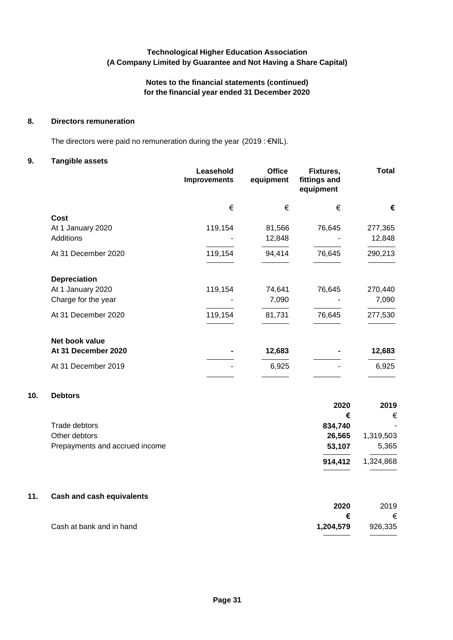## **Notes to the financial statements (continued) for the financial year ended 31 December 2020**

### **8. Directors remuneration**

The directors were paid no remuneration during the year (2019 : €NIL).

### **9. Tangible assets**

|                     | Leasehold<br><b>Improvements</b> | <b>Office</b><br>equipment | Fixtures,<br>fittings and<br>equipment | <b>Total</b> |
|---------------------|----------------------------------|----------------------------|----------------------------------------|--------------|
|                     | €                                | €                          | €                                      | €            |
| Cost                |                                  |                            |                                        |              |
| At 1 January 2020   | 119,154                          | 81,566                     | 76,645                                 | 277,365      |
| Additions           |                                  | 12,848                     |                                        | 12,848       |
| At 31 December 2020 | 119,154                          | 94,414                     | 76,645                                 | 290,213      |
| <b>Depreciation</b> |                                  |                            |                                        |              |
| At 1 January 2020   | 119,154                          | 74,641                     | 76,645                                 | 270,440      |
| Charge for the year |                                  | 7,090                      |                                        | 7,090        |
| At 31 December 2020 | 119,154                          | 81,731                     | 76,645                                 | 277,530      |
| Net book value      |                                  |                            |                                        |              |
| At 31 December 2020 |                                  | 12,683                     |                                        | 12,683       |
| At 31 December 2019 |                                  | 6,925                      |                                        | 6,925        |
|                     |                                  |                            |                                        |              |

## **10. Debtors**

|                                | 2020    | 2019      |
|--------------------------------|---------|-----------|
|                                | €       | €         |
| Trade debtors                  | 834,740 | ٠         |
| Other debtors                  | 26,565  | 1,319,503 |
| Prepayments and accrued income | 53.107  | 5,365     |
|                                | 914.412 | 1,324,868 |

#### **11. Cash and cash equivalents**

|                          | 2020      | 2019    |
|--------------------------|-----------|---------|
|                          |           | €       |
| Cash at bank and in hand | 1,204,579 | 926,335 |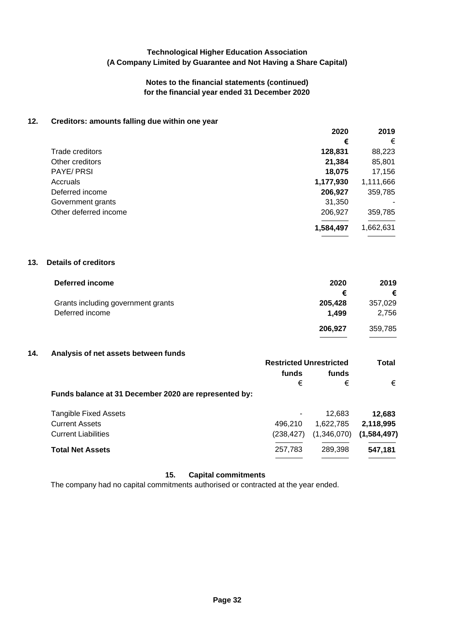## **Notes to the financial statements (continued) for the financial year ended 31 December 2020**

## **12. Creditors: amounts falling due within one year**

|                       | 2020      | 2019      |
|-----------------------|-----------|-----------|
|                       | €         | €         |
| Trade creditors       | 128,831   | 88,223    |
| Other creditors       | 21,384    | 85,801    |
| PAYE/PRSI             | 18,075    | 17,156    |
| Accruals              | 1,177,930 | 1,111,666 |
| Deferred income       | 206,927   | 359,785   |
| Government grants     | 31,350    |           |
| Other deferred income | 206,927   | 359,785   |
|                       | 1,584,497 | 1,662,631 |
|                       |           |           |

# **13. Details of creditors**

| Deferred income                    | 2020    | 2019    |
|------------------------------------|---------|---------|
|                                    |         | €       |
| Grants including government grants | 205,428 | 357.029 |
| Deferred income                    | 1.499   | 2.756   |
|                                    | 206,927 | 359,785 |

#### **14. Analysis of net assets between funds**

|                                                       | <b>Restricted Unrestricted</b> |             | Total       |
|-------------------------------------------------------|--------------------------------|-------------|-------------|
|                                                       | funds                          | funds       |             |
|                                                       | €                              | €           | €           |
| Funds balance at 31 December 2020 are represented by: |                                |             |             |
| <b>Tangible Fixed Assets</b>                          | ۰                              | 12.683      | 12.683      |
| <b>Current Assets</b>                                 | 496.210                        | 1.622.785   | 2,118,995   |
| <b>Current Liabilities</b>                            | (238, 427)                     | (1,346,070) | (1,584,497) |
| <b>Total Net Assets</b>                               | 257,783                        | 289,398     | 547,181     |
|                                                       |                                |             |             |

### **15. Capital commitments**

The company had no capital commitments authorised or contracted at the year ended.